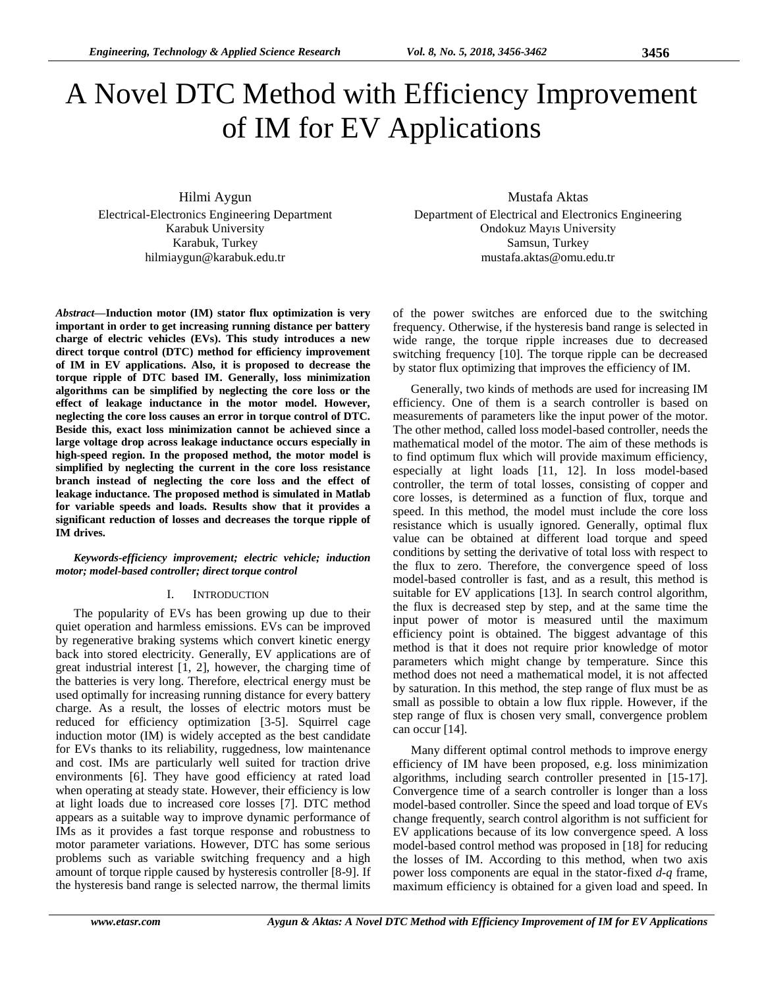# A Novel DTC Method with Efficiency Improvement of IM for EV Applications

Hilmi Aygun Electrical-Electronics Engineering Department Karabuk University Karabuk, Turkey hilmiaygun@karabuk.edu.tr

*Abstract***—Induction motor (IM) stator flux optimization is very important in order to get increasing running distance per battery charge of electric vehicles (EVs). This study introduces a new direct torque control (DTC) method for efficiency improvement of IM in EV applications. Also, it is proposed to decrease the torque ripple of DTC based IM. Generally, loss minimization algorithms can be simplified by neglecting the core loss or the effect of leakage inductance in the motor model. However, neglecting the core loss causes an error in torque control of DTC. Beside this, exact loss minimization cannot be achieved since a large voltage drop across leakage inductance occurs especially in high-speed region. In the proposed method, the motor model is simplified by neglecting the current in the core loss resistance branch instead of neglecting the core loss and the effect of leakage inductance. The proposed method is simulated in Matlab for variable speeds and loads. Results show that it provides a significant reduction of losses and decreases the torque ripple of IM drives.**

#### *Keywords-efficiency improvement; electric vehicle; induction motor; model-based controller; direct torque control*

#### I. INTRODUCTION

The popularity of EVs has been growing up due to their quiet operation and harmless emissions. EVs can be improved by regenerative braking systems which convert kinetic energy back into stored electricity. Generally, EV applications are of great industrial interest [1, 2], however, the charging time of the batteries is very long. Therefore, electrical energy must be used optimally for increasing running distance for every battery charge. As a result, the losses of electric motors must be reduced for efficiency optimization [3-5]. Squirrel cage induction motor (IM) is widely accepted as the best candidate for EVs thanks to its reliability, ruggedness, low maintenance and cost. IMs are particularly well suited for traction drive environments [6]. They have good efficiency at rated load when operating at steady state. However, their efficiency is low at light loads due to increased core losses [7]. DTC method appears as a suitable way to improve dynamic performance of IMs as it provides a fast torque response and robustness to motor parameter variations. However, DTC has some serious problems such as variable switching frequency and a high amount of torque ripple caused by hysteresis controller [8-9]. If the hysteresis band range is selected narrow, the thermal limits

Mustafa Aktas Department of Electrical and Electronics Engineering Ondokuz Mayıs University Samsun, Turkey mustafa.aktas@omu.edu.tr

of the power switches are enforced due to the switching frequency. Otherwise, if the hysteresis band range is selected in wide range, the torque ripple increases due to decreased switching frequency [10]. The torque ripple can be decreased by stator flux optimizing that improves the efficiency of IM.

Generally, two kinds of methods are used for increasing IM efficiency. One of them is a search controller is based on measurements of parameters like the input power of the motor. The other method, called loss model-based controller, needs the mathematical model of the motor. The aim of these methods is to find optimum flux which will provide maximum efficiency, especially at light loads [11, 12]. In loss model-based controller, the term of total losses, consisting of copper and core losses, is determined as a function of flux, torque and speed. In this method, the model must include the core loss resistance which is usually ignored. Generally, optimal flux value can be obtained at different load torque and speed conditions by setting the derivative of total loss with respect to the flux to zero. Therefore, the convergence speed of loss model-based controller is fast, and as a result, this method is suitable for EV applications [13]. In search control algorithm, the flux is decreased step by step, and at the same time the input power of motor is measured until the maximum efficiency point is obtained. The biggest advantage of this method is that it does not require prior knowledge of motor parameters which might change by temperature. Since this method does not need a mathematical model, it is not affected by saturation. In this method, the step range of flux must be as small as possible to obtain a low flux ripple. However, if the step range of flux is chosen very small, convergence problem can occur [14].

Many different optimal control methods to improve energy efficiency of IM have been proposed, e.g. loss minimization algorithms, including search controller presented in [15-17]. Convergence time of a search controller is longer than a loss model-based controller. Since the speed and load torque of EVs change frequently, search control algorithm is not sufficient for EV applications because of its low convergence speed. A loss model-based control method was proposed in [18] for reducing the losses of IM. According to this method, when two axis power loss components are equal in the stator-fixed *d-q* frame, maximum efficiency is obtained for a given load and speed. In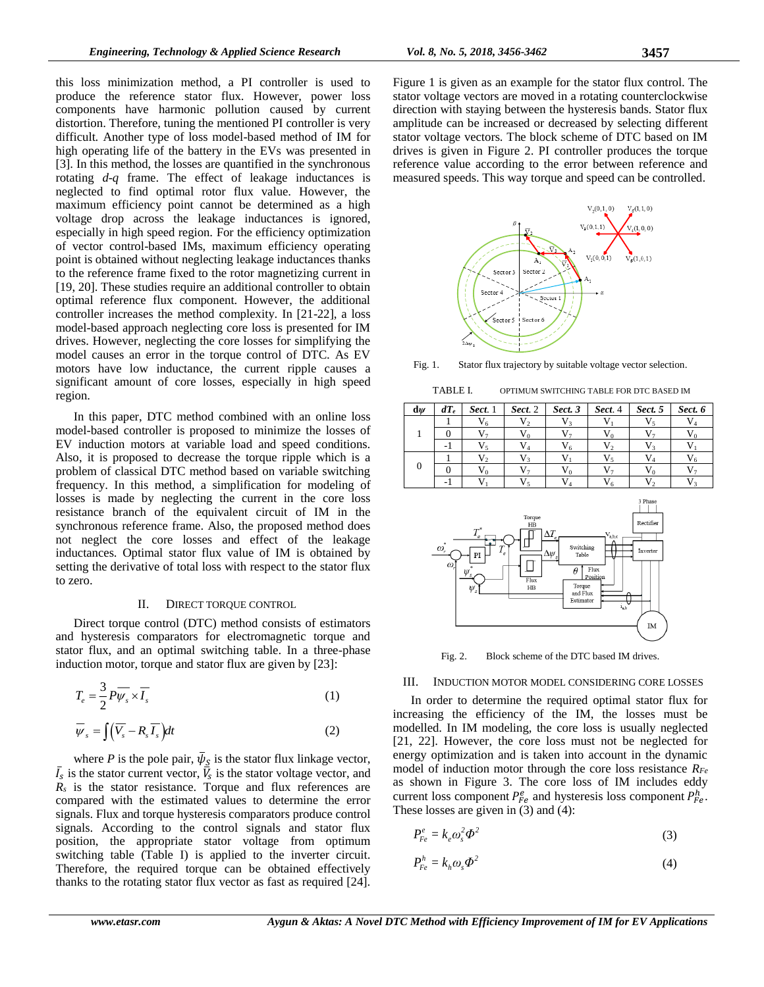this loss minimization method, a PI controller is used to produce the reference stator flux. However, power loss components have harmonic pollution caused by current distortion. Therefore, tuning the mentioned PI controller is very difficult. Another type of loss model-based method of IM for high operating life of the battery in the EVs was presented in [3]. In this method, the losses are quantified in the synchronous rotating *d-q* frame. The effect of leakage inductances is neglected to find optimal rotor flux value. However, the maximum efficiency point cannot be determined as a high voltage drop across the leakage inductances is ignored, especially in high speed region. For the efficiency optimization of vector control-based IMs, maximum efficiency operating point is obtained without neglecting leakage inductances thanks to the reference frame fixed to the rotor magnetizing current in [19, 20]. These studies require an additional controller to obtain optimal reference flux component. However, the additional controller increases the method complexity. In [21-22], a loss model-based approach neglecting core loss is presented for IM drives. However, neglecting the core losses for simplifying the model causes an error in the torque control of DTC. As EV motors have low inductance, the current ripple causes a significant amount of core losses, especially in high speed region.

In this paper, DTC method combined with an online loss model-based controller is proposed to minimize the losses of EV induction motors at variable load and speed conditions. Also, it is proposed to decrease the torque ripple which is a problem of classical DTC method based on variable switching frequency. In this method, a simplification for modeling of losses is made by neglecting the current in the core loss resistance branch of the equivalent circuit of IM in the synchronous reference frame. Also, the proposed method does not neglect the core losses and effect of the leakage inductances. Optimal stator flux value of IM is obtained by setting the derivative of total loss with respect to the stator flux to zero.

## II. DIRECT TORQUE CONTROL

Direct torque control (DTC) method consists of estimators and hysteresis comparators for electromagnetic torque and stator flux, and an optimal switching table. In a three-phase induction motor, torque and stator flux are given by [23]:

$$
T_e = \frac{3}{2} P \overline{\psi_s} \times \overline{I_s}
$$
 (1)

$$
\overline{\psi}_s = \int \left( \overline{V_s} - R_s \overline{I_s} \right) dt \tag{2}
$$

where *P* is the pole pair,  $\bar{\psi}_s$  is the stator flux linkage vector,  $\bar{I}_s$  is the stator current vector,  $\bar{V}_s$  is the stator voltage vector, and  $R<sub>s</sub>$  is the stator resistance. Torque and flux references are compared with the estimated values to determine the error signals. Flux and torque hysteresis comparators produce control signals. According to the control signals and stator flux position, the appropriate stator voltage from optimum switching table (Table I) is applied to the inverter circuit. Therefore, the required torque can be obtained effectively thanks to the rotating stator flux vector as fast as required [24].

Figure 1 is given as an example for the stator flux control. The stator voltage vectors are moved in a rotating counterclockwise direction with staying between the hysteresis bands. Stator flux amplitude can be increased or decreased by selecting different stator voltage vectors. The block scheme of DTC based on IM drives is given in Figure 2. PI controller produces the torque reference value according to the error between reference and measured speeds. This way torque and speed can be controlled.



Fig. 1. Stator flux trajectory by suitable voltage vector selection.

TABLE I. OPTIMUM SWITCHING TABLE FOR DTC BASED IM

| $d\psi$ | $dT_e$ | Sect. 1 | Sect. 2 | Sect. 3 | Sect. 4 | Sect. 5 | Sect. 6 |
|---------|--------|---------|---------|---------|---------|---------|---------|
|         |        |         |         |         |         |         |         |
|         |        |         |         |         |         |         |         |
|         |        |         |         |         |         |         |         |
|         |        |         |         |         |         |         |         |
|         |        |         |         |         |         |         |         |
|         |        |         |         |         |         |         |         |



Fig. 2. Block scheme of the DTC based IM drives.

### III. INDUCTION MOTOR MODEL CONSIDERING CORE LOSSES

In order to determine the required optimal stator flux for increasing the efficiency of the IM, the losses must be modelled. In IM modeling, the core loss is usually neglected [21, 22]. However, the core loss must not be neglected for energy optimization and is taken into account in the dynamic model of induction motor through the core loss resistance *RFe* as shown in Figure 3. The core loss of IM includes eddy current loss component  $P_{Fe}^e$  and hysteresis loss component  $P_{Fe}^h$ . These losses are given in (3) and (4):

$$
P_{Fe}^e = k_e \omega_s^2 \Phi^2 \tag{3}
$$

$$
P_{Fe}^{h} = k_{h} \omega_{s} \Phi^{2}
$$
 (4)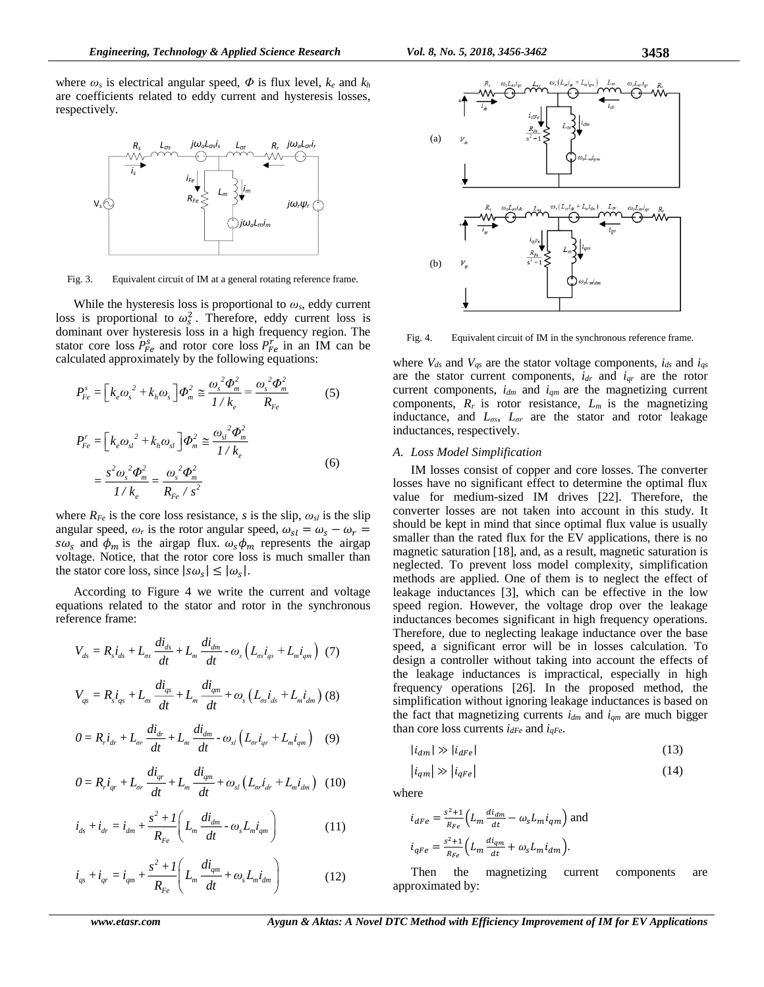where  $\omega_s$  is electrical angular speed,  $\Phi$  is flux level,  $k_e$  and  $k_h$ are coefficients related to eddy current and hysteresis losses, respectively.



Fig. 3. Equivalent circuit of IM at a general rotating reference frame.

While the hysteresis loss is proportional to *ωs*, eddy current loss is proportional to  $\omega_s^2$ . Therefore, eddy current loss is dominant over hysteresis loss in a high frequency region. The stator core loss  $P_{Fe}^s$  and rotor core loss  $P_{Fe}^r$  in an IM can be calculated approximately by the following equations:

$$
P_{Fe}^{s} = \left[k_{e}\omega_{s}^{2} + k_{h}\omega_{s}\right]\Phi_{m}^{2} \approx \frac{\omega_{s}^{2}\Phi_{m}^{2}}{1/k_{e}} = \frac{\omega_{s}^{2}\Phi_{m}^{2}}{R_{Fe}}
$$
(5)  

$$
P_{Fe}^{r} = \left[k_{e}\omega_{s}^{2} + k_{h}\omega_{s}^{2}\right]\Phi_{m}^{2} \approx \frac{\omega_{s}^{2}\Phi_{m}^{2}}{1/k_{e}}
$$

$$
= \frac{s^{2}\omega_{s}^{2}\Phi_{m}^{2}}{1/k_{e}} = \frac{\omega_{s}^{2}\Phi_{m}^{2}}{R_{Fe}/s^{2}}
$$
(6)

where  $R_{Fe}$  is the core loss resistance, *s* is the slip,  $\omega_{sl}$  is the slip angular speed,  $\omega_r$  is the rotor angular speed,  $\omega_{sl} = \omega_s - \omega_r =$  $s\omega_s$  and  $\phi_m$  is the airgap flux.  $\omega_s\phi_m$  represents the airgap voltage. Notice, that the rotor core loss is much smaller than the stator core loss, since  $|s\omega_s| \leq |\omega_s|$ .

According to Figure 4 we write the current and voltage equations related to the stator and rotor in the synchronous reference frame:

$$
V_{ds} = R_s i_{ds} + L_{os} \frac{di_{ds}}{dt} + L_m \frac{di_{dm}}{dt} - \omega_s \left( L_{cs} i_{qs} + L_m i_{qm} \right) (7)
$$
  

$$
V_{qs} = R_s i_{qs} + L_{os} \frac{di_{qs}}{dt} + L_m \frac{di_{qm}}{dt} + \omega_s \left( L_{cs} i_{ds} + L_m i_{dm} \right) (8)
$$
  

$$
0 = R_r i_{dr} + L_{cr} \frac{di_{dr}}{dt} + L_m \frac{di_{dm}}{dt} - \omega_{sl} \left( L_{cr} i_{qr} + L_m i_{qm} \right) (9)
$$

$$
0 = R_r i_{qr} + L_{or} \frac{di_{qr}}{dt} + L_m \frac{di_{qm}}{dt} + \omega_{sl} \left( L_{or} i_{dr} + L_m i_{dm} \right) (10)
$$

$$
i_{ds} + i_{dr} = i_{dm} + \frac{s^2 + I}{R_{Fe}} \left( L_m \frac{di_{dm}}{dt} - \omega_s L_m i_{qm} \right)
$$
 (11)

$$
i_{qs} + i_{qr} = i_{qm} + \frac{s^2 + 1}{R_{Fe}} \left( L_m \frac{di_{qm}}{dt} + \omega_s L_m i_{dm} \right)
$$
 (12)



Fig. 4. Equivalent circuit of IM in the synchronous reference frame.

where  $V_{ds}$  and  $V_{qs}$  are the stator voltage components,  $i_{ds}$  and  $i_{qs}$ are the stator current components, *idr* and *iqr* are the rotor current components, *idm* and *iqm* are the magnetizing current components,  $R_r$  is rotor resistance,  $L_m$  is the magnetizing inductance, and *Lσs*, *Lσr* are the stator and rotor leakage inductances, respectively.

### *A. Loss Model Simplification*

IM losses consist of copper and core losses. The converter losses have no significant effect to determine the optimal flux value for medium-sized IM drives [22]. Therefore, the converter losses are not taken into account in this study. It should be kept in mind that since optimal flux value is usually smaller than the rated flux for the EV applications, there is no magnetic saturation [18], and, as a result, magnetic saturation is neglected. To prevent loss model complexity, simplification methods are applied. One of them is to neglect the effect of leakage inductances [3], which can be effective in the low speed region. However, the voltage drop over the leakage inductances becomes significant in high frequency operations. Therefore, due to neglecting leakage inductance over the base speed, a significant error will be in losses calculation. To design a controller without taking into account the effects of the leakage inductances is impractical, especially in high frequency operations [26]. In the proposed method, the simplification without ignoring leakage inductances is based on the fact that magnetizing currents  $i_{dm}$  and  $i_{qm}$  are much bigger than core loss currents *idFe* and *iqFe*.

$$
|i_{dm}| \gg |i_{dFe}| \tag{13}
$$

$$
|i_{qm}| \gg |i_{qFe}| \tag{14}
$$

where

$$
i_{dFe} = \frac{s^2 + 1}{R_{Fe}} \left( L_m \frac{di_{dm}}{dt} - \omega_s L_m i_{qm} \right) \text{ and}
$$
  

$$
i_{qFe} = \frac{s^2 + 1}{R_{Fe}} \left( L_m \frac{di_{qm}}{dt} + \omega_s L_m i_{dm} \right).
$$

Then the magnetizing current components are approximated by: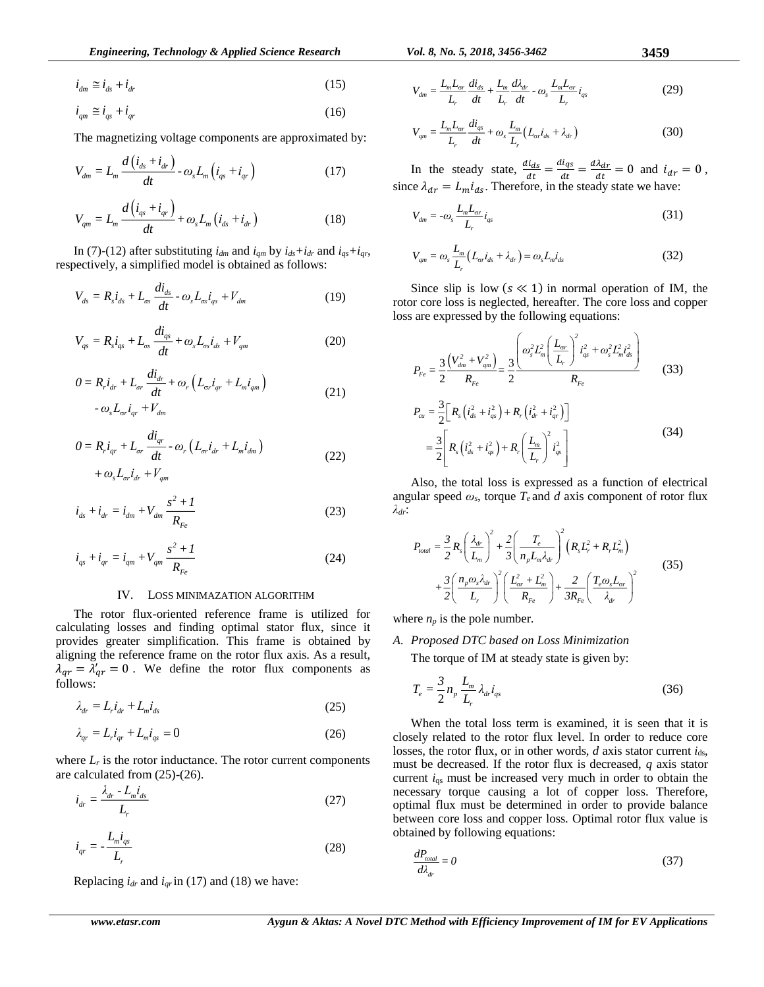$$
i_{dm} \cong i_{ds} + i_{dr} \tag{15}
$$

$$
i_{qm} \cong i_{qs} + i_{qr} \tag{16}
$$

The magnetizing voltage components are approximated by:

$$
V_{dm} = L_m \frac{d\left(i_{ds} + i_{dr}\right)}{dt} - \omega_s L_m \left(i_{qs} + i_{qr}\right)
$$
 (17)

$$
V_{qm} = L_m \frac{d\left(i_{qs} + i_{qr}\right)}{dt} + \omega_s L_m \left(i_{ds} + i_{dr}\right) \tag{18}
$$

In (7)-(12) after substituting  $i_{dm}$  and  $i_{qm}$  by  $i_{ds}+i_{dr}$  and  $i_{qs}+i_{qr}$ , respectively, a simplified model is obtained as follows:

$$
V_{ds} = R_s i_{ds} + L_{os} \frac{di_{ds}}{dt} - \omega_s L_{os} i_{qs} + V_{dm}
$$
\n(19)

$$
V_{qs} = R_s i_{qs} + L_{os} \frac{di_{qs}}{dt} + \omega_s L_{cs} i_{ds} + V_{qm}
$$
 (20)

$$
0 = R_r i_{dr} + L_{or} \frac{di_{dr}}{dt} + \omega_r \left( L_{or} i_{qr} + L_m i_{qm} \right)
$$
  
-  $\omega_s L_{cr} i_{qr} + V_{dm}$  (21)

$$
0 = R_r i_{qr} + L_{or} \frac{di_{qr}}{dt} - \omega_r \left( L_{or} i_{dr} + L_m i_{dm} \right)
$$
  
+  $\omega_s L_{or} i_{dr} + V_{qm}$  (22)

$$
i_{ds} + i_{dr} = i_{dm} + V_{dm} \frac{s^2 + 1}{R_{Fe}}
$$
 (23)

$$
i_{qs} + i_{qr} = i_{qm} + V_{qm} \frac{s^2 + 1}{R_{Fe}}
$$
 (24)

#### IV. LOSS MINIMAZATION ALGORITHM

The rotor flux-oriented reference frame is utilized for calculating losses and finding optimal stator flux, since it provides greater simplification. This frame is obtained by aligning the reference frame on the rotor flux axis. As a result,  $\lambda_{qr} = \lambda'_{qr} = 0$ . We define the rotor flux components as follows:

$$
\lambda_{dr} = L_r i_{dr} + L_m i_{ds} \tag{25}
$$

$$
\lambda_{qr} = L_r i_{qr} + L_m i_{qs} = 0 \tag{26}
$$

where  $L_r$  is the rotor inductance. The rotor current components are calculated from (25)-(26).

$$
i_{dr} = \frac{\lambda_{dr} - L_m i_{ds}}{L_r} \tag{27}
$$

$$
i_{qr} = -\frac{L_m i_{qs}}{L_r} \tag{28}
$$

Replacing  $i_{dr}$  and  $i_{qr}$  in (17) and (18) we have:

$$
V_{dm} = \frac{L_m L_{\sigma r}}{L_r} \frac{di_{ds}}{dt} + \frac{L_m}{L_r} \frac{d\lambda_{dr}}{dt} - \omega_s \frac{L_m L_{\sigma r}}{L_r} i_{qs}
$$
(29)

$$
V_{qm} = \frac{L_m L_{\sigma r}}{L_r} \frac{di_{qs}}{dt} + \omega_s \frac{L_m}{L_r} \left( L_{\sigma r} i_{ds} + \lambda_{dr} \right)
$$
(30)

In the steady state,  $\frac{di_{ds}}{dt} = \frac{di_{qs}}{dt}$  $\frac{di_{qs}}{dt} = \frac{d\lambda_{dr}}{dt}$  $\frac{\lambda_{dr}}{dt} = 0$  and  $i_{dr} = 0$ , since  $\lambda_{dr} = L_m i_{ds}$ . Therefore, in the steady state we have:

$$
V_{dm} = -\omega_s \frac{L_m L_{\sigma r}}{L_r} i_{qs} \tag{31}
$$

$$
V_{qm} = \omega_s \frac{L_m}{L_r} \left( L_{\sigma r} i_{ds} + \lambda_{dr} \right) = \omega_s L_m i_{ds} \tag{32}
$$

Since slip is low  $(s \ll 1)$  in normal operation of IM, the rotor core loss is neglected, hereafter. The core loss and copper loss are expressed by the following equations:

$$
P_{Fe} = \frac{3}{2} \frac{\left(V_{dm}^2 + V_{gm}^2\right)}{R_{Fe}} = \frac{3}{2} \frac{\left(\omega_s^2 L_m^2 \left(\frac{L_{or}}{L_r}\right)^2 i_{qs}^2 + \omega_s^2 L_m^2 i_{ds}^2\right)}{R_{Fe}}
$$
\n
$$
P_{cu} = \frac{3}{2} \left[R_s \left(i_{ds}^2 + i_{qs}^2\right) + R_r \left(i_{dr}^2 + i_{qr}^2\right)\right]
$$
\n
$$
= \frac{3}{2} \left[R_s \left(i_{ds}^2 + i_{qs}^2\right) + R_r \left(\frac{L_m}{L_r}\right)^2 i_{qs}^2\right]
$$
\n(34)

Also, the total loss is expressed as a function of electrical angular speed  $\omega_s$ , torque  $T_e$  and  $d$  axis component of rotor flux *λdr*:

$$
P_{total} = \frac{3}{2} R_s \left(\frac{\lambda_{dr}}{L_m}\right)^2 + \frac{2}{3} \left(\frac{T_e}{n_p L_m \lambda_{dr}}\right)^2 \left(R_s L_r^2 + R_r L_m^2\right)
$$
  
+ 
$$
\frac{3}{2} \left(\frac{n_p \omega_s \lambda_{dr}}{L_r}\right)^2 \left(\frac{L_{cr}^2 + L_m^2}{R_{Fe}}\right) + \frac{2}{3R_{Fe}} \left(\frac{T_e \omega_s L_{cr}}{\lambda_{dr}}\right)^2
$$
(35)

where  $n_p$  is the pole number.

## *A. Proposed DTC based on Loss Minimization* The torque of IM at steady state is given by:

$$
T_e = \frac{3}{2} n_p \frac{L_m}{L_r} \lambda_{dr} i_{qs} \tag{36}
$$

When the total loss term is examined, it is seen that it is closely related to the rotor flux level. In order to reduce core losses, the rotor flux, or in other words,  $d$  axis stator current  $i_{ds}$ , must be decreased. If the rotor flux is decreased, *q* axis stator current  $i_{qs}$  must be increased very much in order to obtain the necessary torque causing a lot of copper loss. Therefore, optimal flux must be determined in order to provide balance between core loss and copper loss. Optimal rotor flux value is obtained by following equations:

$$
\frac{dP_{total}}{d\lambda_{dr}} = 0\tag{37}
$$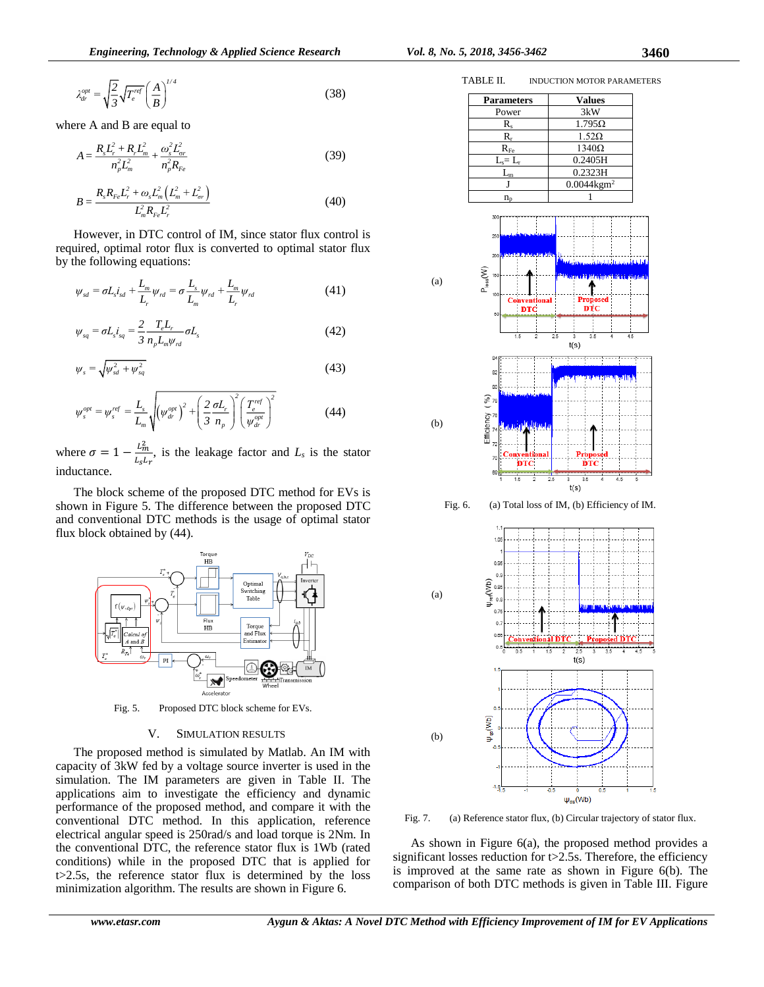$$
\lambda_{dr}^{opt} = \sqrt{\frac{2}{3}} \sqrt{T_e^{ref}} \left(\frac{A}{B}\right)^{1/4} \tag{38}
$$

where A and B are equal to

$$
A = \frac{R_s L_r^2 + R_r L_m^2}{n_p^2 L_m^2} + \frac{\omega_s^2 L_{\sigma r}^2}{n_p^2 R_{Fe}}
$$
(39)

$$
B = \frac{R_s R_{Fe} L_r^2 + \omega_s L_m^2 \left( L_m^2 + L_{or}^2 \right)}{L_m^2 R_{Fe} L_r^2}
$$
(40)

However, in DTC control of IM, since stator flux control is required, optimal rotor flux is converted to optimal stator flux by the following equations:

$$
\psi_{sd} = \sigma L_s i_{sd} + \frac{L_m}{L_r} \psi_{rd} = \sigma \frac{L_s}{L_m} \psi_{rd} + \frac{L_m}{L_r} \psi_{rd}
$$
(41)

$$
\psi_{sq} = \sigma L_s i_{sq} = \frac{2}{3} \frac{T_e L_r}{n_p L_m \psi_{rd}} \sigma L_s \tag{42}
$$

$$
\psi_s = \sqrt{\psi_{sd}^2 + \psi_{sq}^2} \tag{43}
$$

$$
\psi_s^{opt} = \psi_s^{ref} = \frac{L_s}{L_m} \sqrt{\left(\psi_{dr}^{opt}\right)^2 + \left(\frac{2}{3} \frac{\sigma L_r}{n_p}\right)^2 \left(\frac{T_e^{ref}}{\psi_{dr}^{opt}}\right)^2}
$$
(44)

where  $\sigma = 1$  $L_m^2$  $\frac{L_m}{L_s L_r}$ , is the leakage factor and  $L_s$  is the stator inductance.

The block scheme of the proposed DTC method for EVs is shown in Figure 5. The difference between the proposed DTC and conventional DTC methods is the usage of optimal stator flux block obtained by (44).



Fig. 5. Proposed DTC block scheme for EVs.

#### V. SIMULATION RESULTS

The proposed method is simulated by Matlab. An IM with capacity of 3kW fed by a voltage source inverter is used in the simulation. The IM parameters are given in Table II. The applications aim to investigate the efficiency and dynamic performance of the proposed method, and compare it with the conventional DTC method. In this application, reference electrical angular speed is 250rad/s and load torque is 2Nm. In the conventional DTC, the reference stator flux is 1Wb (rated conditions) while in the proposed DTC that is applied for  $t > 2.5$  s, the reference stator flux is determined by the loss minimization algorithm. The results are shown in Figure 6.

(a)

(b)

(a)

(b)



Fig. 7. (a) Reference stator flux, (b) Circular trajectory of stator flux.

As shown in Figure 6(a), the proposed method provides a significant losses reduction for  $\geq$  2.5s. Therefore, the efficiency is improved at the same rate as shown in Figure 6(b). The comparison of both DTC methods is given in Table III. Figure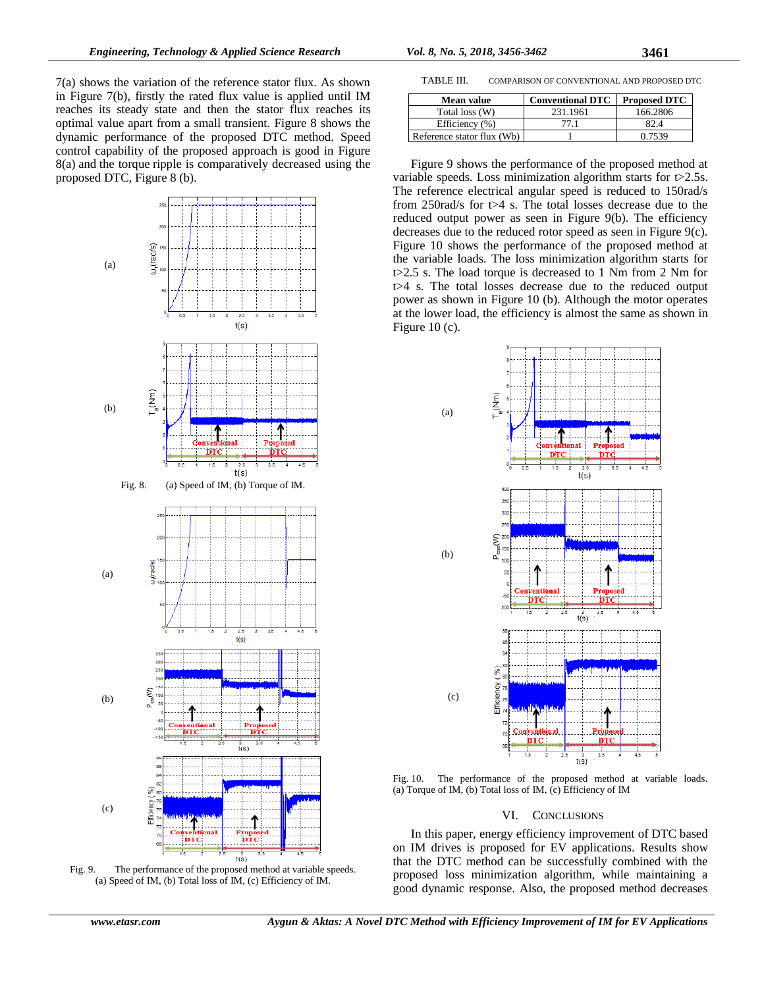7(a) shows the variation of the reference stator flux. As shown in Figure 7(b), firstly the rated flux value is applied until IM reaches its steady state and then the stator flux reaches its optimal value apart from a small transient. Figure 8 shows the dynamic performance of the proposed DTC method. Speed control capability of the proposed approach is good in Figure 8(a) and the torque ripple is comparatively decreased using the proposed DTC, Figure 8 (b).



Fig. 9. The performance of the proposed method at variable speeds. (a) Speed of IM, (b) Total loss of IM, (c) Efficiency of IM.

| <b>Mean value</b>          | <b>Conventional DTC</b> | <b>Proposed DTC</b> |
|----------------------------|-------------------------|---------------------|
| Total loss (W)             | 231.1961                | 166.2806            |
| Efficiency (%)             |                         |                     |
| Reference stator flux (Wb) |                         | በ 7539.             |

Figure 9 shows the performance of the proposed method at variable speeds. Loss minimization algorithm starts for t>2.5s. The reference electrical angular speed is reduced to 150rad/s from 250rad/s for t>4 s. The total losses decrease due to the reduced output power as seen in Figure 9(b). The efficiency decreases due to the reduced rotor speed as seen in Figure 9(c). Figure 10 shows the performance of the proposed method at the variable loads. The loss minimization algorithm starts for  $t > 2.5$  s. The load torque is decreased to 1 Nm from 2 Nm for t>4 s. The total losses decrease due to the reduced output power as shown in Figure 10 (b). Although the motor operates at the lower load, the efficiency is almost the same as shown in Figure 10 (c).



Fig. 10. The performance of the proposed method at variable loads. (a) Torque of IM, (b) Total loss of IM,  $(c)$  Efficiency of IM

## VI. CONCLUSIONS

In this paper, energy efficiency improvement of DTC based on IM drives is proposed for EV applications. Results show that the DTC method can be successfully combined with the proposed loss minimization algorithm, while maintaining a good dynamic response. Also, the proposed method decreases